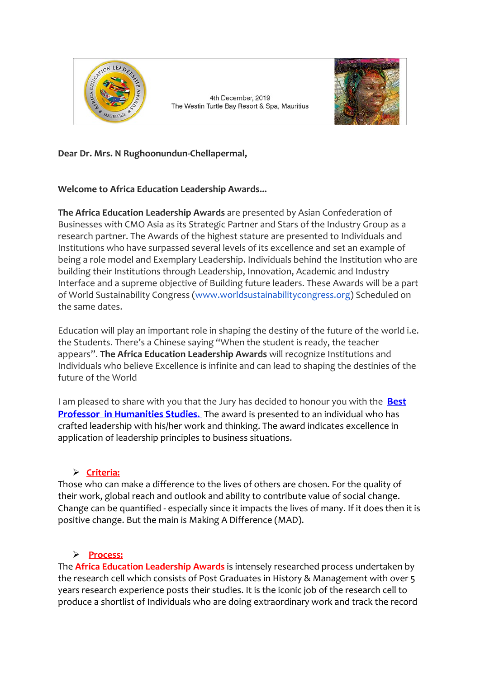

4th December, 2019 The Westin Turtle Bay Resort & Spa, Mauritius



# **Dear Dr. Mrs. N Rughoonundun-Chellapermal,**

### **Welcome to Africa Education Leadership Awards...**

**The Africa Education Leadership Awards** are presented by Asian Confederation of Businesses with CMO Asia as its Strategic Partner and Stars of the Industry Group as a research partner. The Awards of the highest stature are presented to Individuals and Institutions who have surpassed several levels of its excellence and set an example of being a role model and Exemplary Leadership. Individuals behind the Institution who are building their Institutions through Leadership, Innovation, Academic and Industry Interface and a supreme objective of Building future leaders. These Awards will be a part of World Sustainability Congress (www.worldsustainabilitycongress.org) Scheduled on the same dates.

Education will play an important role in shaping the destiny of the future of the world i.e. the Students. There's a Chinese saying "When the student is ready, the teacher appears". **The Africa Education Leadership Awards** will recognize Institutions and Individuals who believe Excellence is infinite and can lead to shaping the destinies of the future of the World

I am pleased to share with you that the Jury has decided to honour you with the **Best Professor in Humanities Studies.** The award is presented to an individual who has crafted leadership with his/her work and thinking. The award indicates excellence in application of leadership principles to business situations.

### Ø **Criteria:**

Those who can make a difference to the lives of others are chosen. For the quality of their work, global reach and outlook and ability to contribute value of social change. Change can be quantified - especially since it impacts the lives of many. If it does then it is positive change. But the main is Making A Difference (MAD).

# Ø **Process:**

The **Africa Education Leadership Awards** is intensely researched process undertaken by the research cell which consists of Post Graduates in History & Management with over 5 years research experience posts their studies. It is the iconic job of the research cell to produce a shortlist of Individuals who are doing extraordinary work and track the record